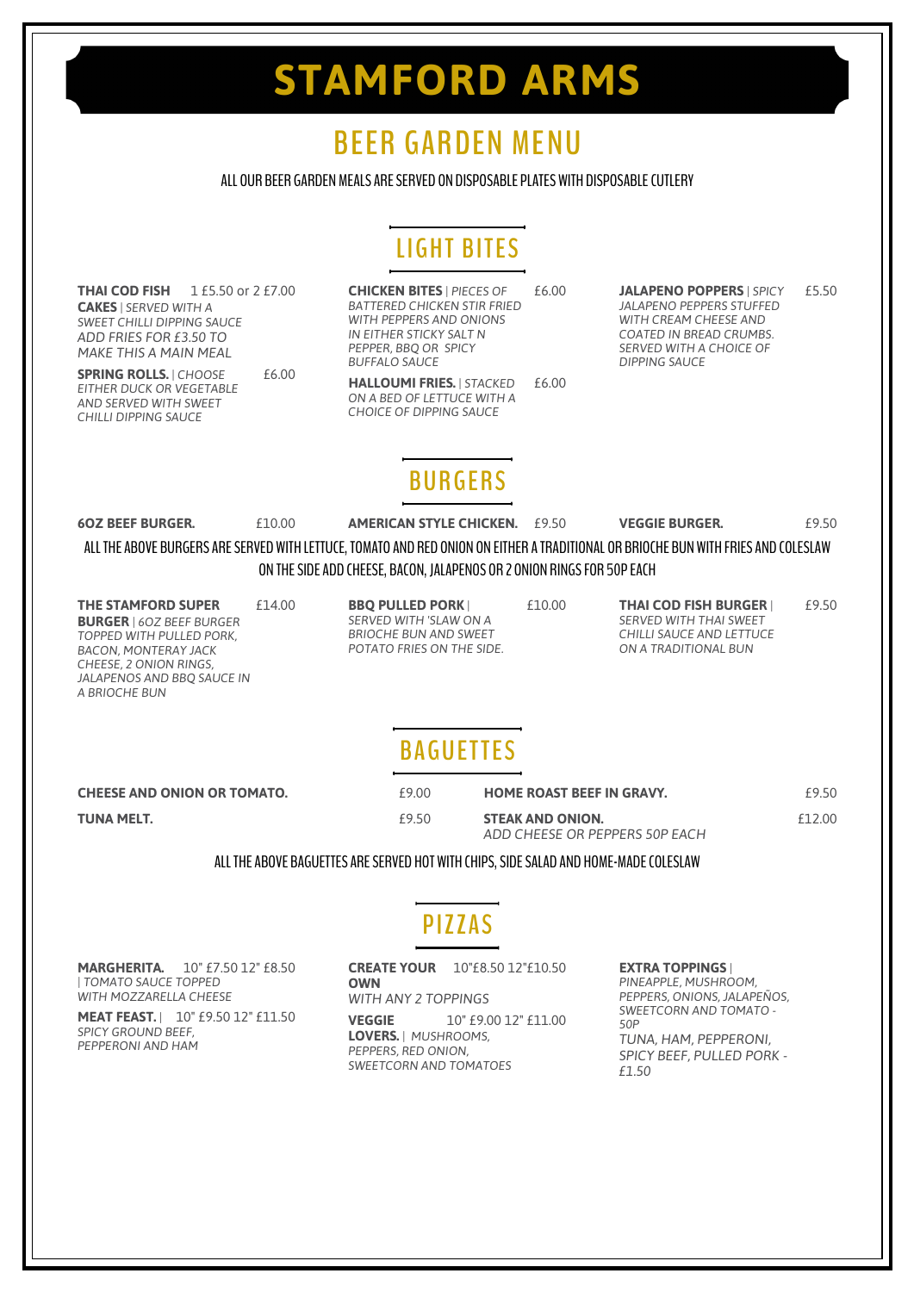# **STAMFORD ARMS**

# **BEER GARDEN MENU**

#### ALL OUR BEER GARDEN MEALS ARE SERVED ON DISPOSABLE PLATES WITH DISPOSABLE CUTLERY

# **LIGHT BITES**

**THAI COD FISH** 1 £5.50 or 2 £7.00 **CAKES** *| SERVED WITH A SWEET CHILLI DIPPING SAUCE ADD FRIES FOR £3.50 TO MAKE THIS A MAIN MEAL* **CHICKEN BITES** *| PIECES OF* £6.00 *BATTERED CHICKEN STIR FRIED WITH PEPPERS AND ONIONS IN EITHER STICKY SALT N PEPPER, BBQ OR SPICY BUFFALO SAUCE* **JALAPENO POPPERS** *| SPICY* £5.50 *JALAPENO PEPPERS STUFFED WITH CREAM CHEESE AND COATED IN BREAD CRUMBS. SERVED WITH A CHOICE OF DIPPING SAUCE* **SPRING ROLLS.** *| CHOOSE* £6.00 *EITHER DUCK OR VEGETABLE AND SERVED WITH SWEET CHILLI DIPPING SAUCE* **HALLOUMI FRIES.** *| STACKED* £6.00 *ON A BED OF LETTUCE WITH A CHOICE OF DIPPING SAUCE* **BURGERS 6OZ BEEF BURGER.** £10.00 **AMERICAN STYLE CHICKEN.** £9.50 **VEGGIE BURGER.** £9.50 ALL THE ABOVE BURGERS ARE SERVED WITH LETTUCE, TOMATO AND RED ONION ON EITHER A TRADITIONAL OR BRIOCHE BUN WITH FRIES AND COLESLAW ON THE SIDE ADD CHEESE, BACON, JALAPENOS OR 2 ONION RINGS FOR 50P EACH **THE STAMFORD SUPER** £14.00 **BURGER** *| 6OZ BEEF BURGER TOPPED WITH PULLED PORK, BACON, MONTERAY JACK CHEESE, 2 ONION RINGS, JALAPENOS AND BBQ SAUCE IN A BRIOCHE BUN* **BBQ PULLED PORK**<sup> $\vert$ </sup> *£*10.00 *SERVED WITH 'SLAW ON A BRIOCHE BUN AND SWEET POTATO FRIES ON THE SIDE.* **THAI COD FISH BURGER**<sup> $\vert$  £9.50</sub></sup> *SERVED WITH THAI SWEET CHILLI SAUCE AND LETTUCE ON A TRADITIONAL BUN* **B AGUETTES CHEESE AND ONION OR TOMATO.** £9.00 **HOME ROAST BEEF IN GRAVY.** £9.50 **TUNA MELT.**  $\text{E9.50}$  **STEAK AND ONION.**  $\text{E9.50}$  **EXAMPLE 2008** *ADD CHEESE OR PEPPERS 50P EACH* ALL THE ABOVE BAGUETTES ARE SERVED HOT WITH CHIPS, SIDE SALAD AND HOME-MADE COLESLAW **PIZZAS MARGHERITA.** 10" £7.50 12" £8.50 *| TOMATO SAUCE TOPPED* **CREATE YOUR** 10"£8.50 12"£10.50 **OWN EXTRA TOPPINGS** *| PINEAPPLE, MUSHROOM,*

*WITH MOZZARELLA CHEESE* **MEAT FEAST.** *|* 10" £9.50 12" £11.50

*SPICY GROUND BEEF, PEPPERONI AND HAM* *WITH ANY 2 TOPPINGS* **VEGGIE** 10"  $f9.0012$ "  $f11.00$ **LOVERS.** *| MUSHROOMS, PEPPERS, RED ONION, SWEETCORN AND TOMATOES*

*PEPPERS, ONIONS, JALAPEÑOS, SWEETCORN AND TOMATO - 50P TUNA, HAM, PEPPERONI, SPICY BEEF, PULLED PORK - £1.50*